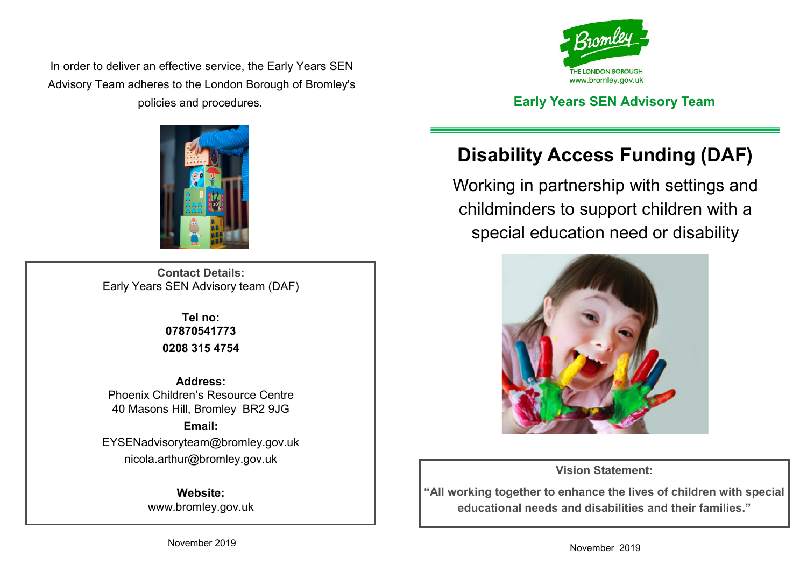In order to deliver an effective service, the Early Years SEN Advisory Team adheres to the London Borough of Bromley's policies and procedures. **Early Years SEN Advisory Team**



**Contact Details:** Early Years SEN Advisory team (DAF)

> **Tel no: 07870541773 0208 315 4754**

**Address:** Phoenix Children's Resource Centre 40 Masons Hill, Bromley BR2 9JG **Email:** EYSENadvisoryteam@bromley.gov.uk nicola.arthur@bromley.gov.uk

> **Website:** www.bromley.gov.uk



# **Disability Access Funding (DAF)**

Working in partnership with settings and childminders to support children with a special education need or disability



**Vision Statement:**

**"All working together to enhance the lives of children with special educational needs and disabilities and their families."**